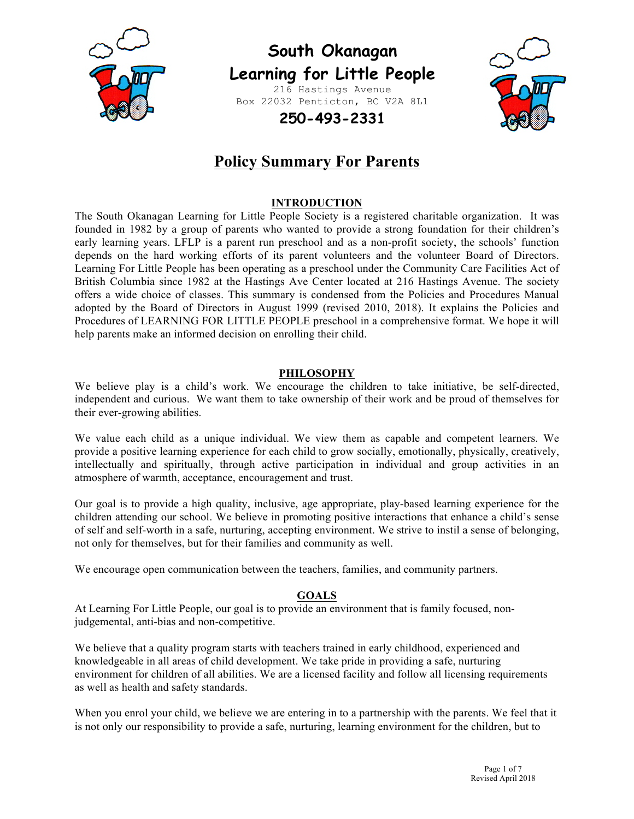

# **South Okanagan Learning for Little People**

216 Hastings Avenue Box 22032 Penticton, BC V2A 8L1



# **250-493-2331**

# **Policy Summary For Parents**

# **INTRODUCTION**

The South Okanagan Learning for Little People Society is a registered charitable organization. It was founded in 1982 by a group of parents who wanted to provide a strong foundation for their children's early learning years. LFLP is a parent run preschool and as a non-profit society, the schools' function depends on the hard working efforts of its parent volunteers and the volunteer Board of Directors. Learning For Little People has been operating as a preschool under the Community Care Facilities Act of British Columbia since 1982 at the Hastings Ave Center located at 216 Hastings Avenue. The society offers a wide choice of classes. This summary is condensed from the Policies and Procedures Manual adopted by the Board of Directors in August 1999 (revised 2010, 2018). It explains the Policies and Procedures of LEARNING FOR LITTLE PEOPLE preschool in a comprehensive format. We hope it will help parents make an informed decision on enrolling their child.

# **PHILOSOPHY**

We believe play is a child's work. We encourage the children to take initiative, be self-directed, independent and curious. We want them to take ownership of their work and be proud of themselves for their ever-growing abilities.

We value each child as a unique individual. We view them as capable and competent learners. We provide a positive learning experience for each child to grow socially, emotionally, physically, creatively, intellectually and spiritually, through active participation in individual and group activities in an atmosphere of warmth, acceptance, encouragement and trust.

Our goal is to provide a high quality, inclusive, age appropriate, play-based learning experience for the children attending our school. We believe in promoting positive interactions that enhance a child's sense of self and self-worth in a safe, nurturing, accepting environment. We strive to instil a sense of belonging, not only for themselves, but for their families and community as well.

We encourage open communication between the teachers, families, and community partners.

# **GOALS**

At Learning For Little People, our goal is to provide an environment that is family focused, nonjudgemental, anti-bias and non-competitive.

We believe that a quality program starts with teachers trained in early childhood, experienced and knowledgeable in all areas of child development. We take pride in providing a safe, nurturing environment for children of all abilities. We are a licensed facility and follow all licensing requirements as well as health and safety standards.

When you enrol your child, we believe we are entering in to a partnership with the parents. We feel that it is not only our responsibility to provide a safe, nurturing, learning environment for the children, but to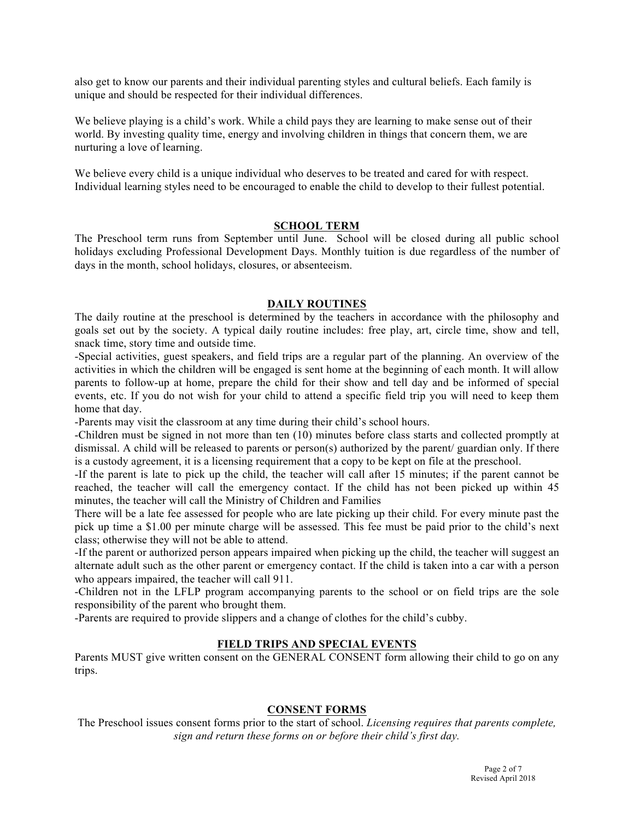also get to know our parents and their individual parenting styles and cultural beliefs. Each family is unique and should be respected for their individual differences.

We believe playing is a child's work. While a child pays they are learning to make sense out of their world. By investing quality time, energy and involving children in things that concern them, we are nurturing a love of learning.

We believe every child is a unique individual who deserves to be treated and cared for with respect. Individual learning styles need to be encouraged to enable the child to develop to their fullest potential.

#### **SCHOOL TERM**

The Preschool term runs from September until June. School will be closed during all public school holidays excluding Professional Development Days. Monthly tuition is due regardless of the number of days in the month, school holidays, closures, or absenteeism.

#### **DAILY ROUTINES**

The daily routine at the preschool is determined by the teachers in accordance with the philosophy and goals set out by the society. A typical daily routine includes: free play, art, circle time, show and tell, snack time, story time and outside time.

-Special activities, guest speakers, and field trips are a regular part of the planning. An overview of the activities in which the children will be engaged is sent home at the beginning of each month. It will allow parents to follow-up at home, prepare the child for their show and tell day and be informed of special events, etc. If you do not wish for your child to attend a specific field trip you will need to keep them home that day.

-Parents may visit the classroom at any time during their child's school hours.

-Children must be signed in not more than ten (10) minutes before class starts and collected promptly at dismissal. A child will be released to parents or person(s) authorized by the parent/ guardian only. If there is a custody agreement, it is a licensing requirement that a copy to be kept on file at the preschool.

-If the parent is late to pick up the child, the teacher will call after 15 minutes; if the parent cannot be reached, the teacher will call the emergency contact. If the child has not been picked up within 45 minutes, the teacher will call the Ministry of Children and Families

There will be a late fee assessed for people who are late picking up their child. For every minute past the pick up time a \$1.00 per minute charge will be assessed. This fee must be paid prior to the child's next class; otherwise they will not be able to attend.

-If the parent or authorized person appears impaired when picking up the child, the teacher will suggest an alternate adult such as the other parent or emergency contact. If the child is taken into a car with a person who appears impaired, the teacher will call 911.

-Children not in the LFLP program accompanying parents to the school or on field trips are the sole responsibility of the parent who brought them.

-Parents are required to provide slippers and a change of clothes for the child's cubby.

# **FIELD TRIPS AND SPECIAL EVENTS**

Parents MUST give written consent on the GENERAL CONSENT form allowing their child to go on any trips.

#### **CONSENT FORMS**

The Preschool issues consent forms prior to the start of school. *Licensing requires that parents complete, sign and return these forms on or before their child's first day.*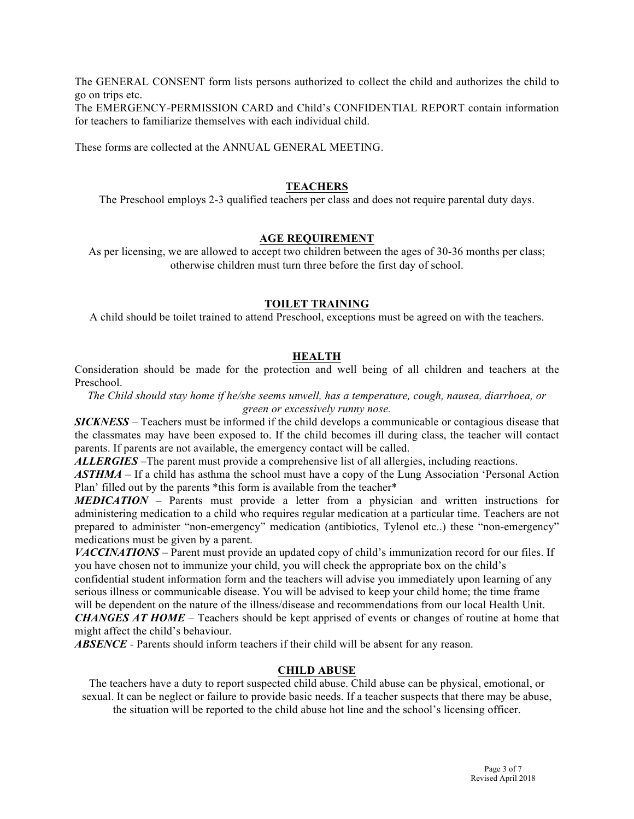The GENERAL CONSENT form lists persons authorized to collect the child and authorizes the child to go on trips etc.

The EMERGENCY-PERMISSION CARD and Child's CONFIDENTIAL REPORT contain information for teachers to familiarize themselves with each individual child.

These forms are collected at the ANNUAL GENERAL MEETING.

#### **TEACHERS**

The Preschool employs 2-3 qualified teachers per class and does not require parental duty days.

#### **AGE REQUIREMENT**

As per licensing, we are allowed to accept two children between the ages of 30-36 months per class; otherwise children must turn three before the first day of school.

#### **TOILET TRAINING**

A child should be toilet trained to attend Preschool, exceptions must be agreed on with the teachers.

# **HEALTH**

Consideration should be made for the protection and well being of all children and teachers at the Preschool.

*The Child should stay home if he/she seems unwell, has a temperature, cough, nausea, diarrhoea, or green or excessively runny nose.*

*SICKNESS –* Teachers must be informed if the child develops a communicable or contagious disease that the classmates may have been exposed to. If the child becomes ill during class, the teacher will contact parents. If parents are not available, the emergency contact will be called.

*ALLERGIES –*The parent must provide a comprehensive list of all allergies, including reactions.

*ASTHMA –* If a child has asthma the school must have a copy of the Lung Association 'Personal Action Plan' filled out by the parents \*this form is available from the teacher\*

*MEDICATION –* Parents must provide a letter from a physician and written instructions for administering medication to a child who requires regular medication at a particular time. Teachers are not prepared to administer "non-emergency" medication (antibiotics, Tylenol etc..) these "non-emergency" medications must be given by a parent.

*VACCINATIONS –* Parent must provide an updated copy of child's immunization record for our files. If you have chosen not to immunize your child, you will check the appropriate box on the child's confidential student information form and the teachers will advise you immediately upon learning of any serious illness or communicable disease. You will be advised to keep your child home; the time frame will be dependent on the nature of the illness/disease and recommendations from our local Health Unit. *CHANGES AT HOME –* Teachers should be kept apprised of events or changes of routine at home that might affect the child's behaviour.

*ABSENCE -* Parents should inform teachers if their child will be absent for any reason.

#### **CHILD ABUSE**

The teachers have a duty to report suspected child abuse. Child abuse can be physical, emotional, or sexual. It can be neglect or failure to provide basic needs. If a teacher suspects that there may be abuse, the situation will be reported to the child abuse hot line and the school's licensing officer.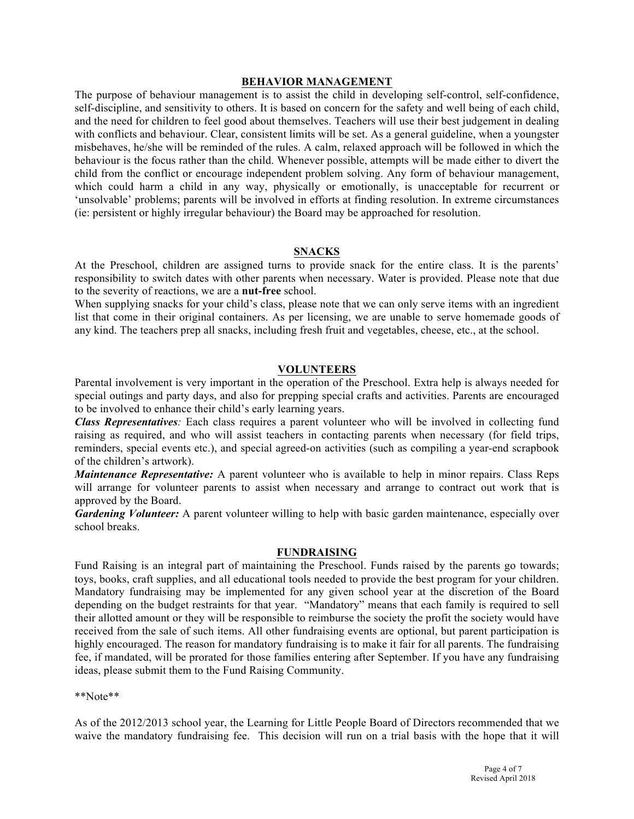#### **BEHAVIOR MANAGEMENT**

The purpose of behaviour management is to assist the child in developing self-control, self-confidence, self-discipline, and sensitivity to others. It is based on concern for the safety and well being of each child, and the need for children to feel good about themselves. Teachers will use their best judgement in dealing with conflicts and behaviour. Clear, consistent limits will be set. As a general guideline, when a youngster misbehaves, he/she will be reminded of the rules. A calm, relaxed approach will be followed in which the behaviour is the focus rather than the child. Whenever possible, attempts will be made either to divert the child from the conflict or encourage independent problem solving. Any form of behaviour management, which could harm a child in any way, physically or emotionally, is unacceptable for recurrent or 'unsolvable' problems; parents will be involved in efforts at finding resolution. In extreme circumstances (ie: persistent or highly irregular behaviour) the Board may be approached for resolution.

#### **SNACKS**

At the Preschool, children are assigned turns to provide snack for the entire class. It is the parents' responsibility to switch dates with other parents when necessary. Water is provided. Please note that due to the severity of reactions, we are a **nut-free** school.

When supplying snacks for your child's class, please note that we can only serve items with an ingredient list that come in their original containers. As per licensing, we are unable to serve homemade goods of any kind. The teachers prep all snacks, including fresh fruit and vegetables, cheese, etc., at the school.

#### **VOLUNTEERS**

Parental involvement is very important in the operation of the Preschool. Extra help is always needed for special outings and party days, and also for prepping special crafts and activities. Parents are encouraged to be involved to enhance their child's early learning years.

*Class Representatives:* Each class requires a parent volunteer who will be involved in collecting fund raising as required, and who will assist teachers in contacting parents when necessary (for field trips, reminders, special events etc.), and special agreed-on activities (such as compiling a year-end scrapbook of the children's artwork).

*Maintenance Representative:* A parent volunteer who is available to help in minor repairs. Class Reps will arrange for volunteer parents to assist when necessary and arrange to contract out work that is approved by the Board.

*Gardening Volunteer:* A parent volunteer willing to help with basic garden maintenance, especially over school breaks.

#### **FUNDRAISING**

Fund Raising is an integral part of maintaining the Preschool. Funds raised by the parents go towards; toys, books, craft supplies, and all educational tools needed to provide the best program for your children. Mandatory fundraising may be implemented for any given school year at the discretion of the Board depending on the budget restraints for that year. "Mandatory" means that each family is required to sell their allotted amount or they will be responsible to reimburse the society the profit the society would have received from the sale of such items. All other fundraising events are optional, but parent participation is highly encouraged. The reason for mandatory fundraising is to make it fair for all parents. The fundraising fee, if mandated, will be prorated for those families entering after September. If you have any fundraising ideas, please submit them to the Fund Raising Community.

\*\*Note\*\*

As of the 2012/2013 school year, the Learning for Little People Board of Directors recommended that we waive the mandatory fundraising fee. This decision will run on a trial basis with the hope that it will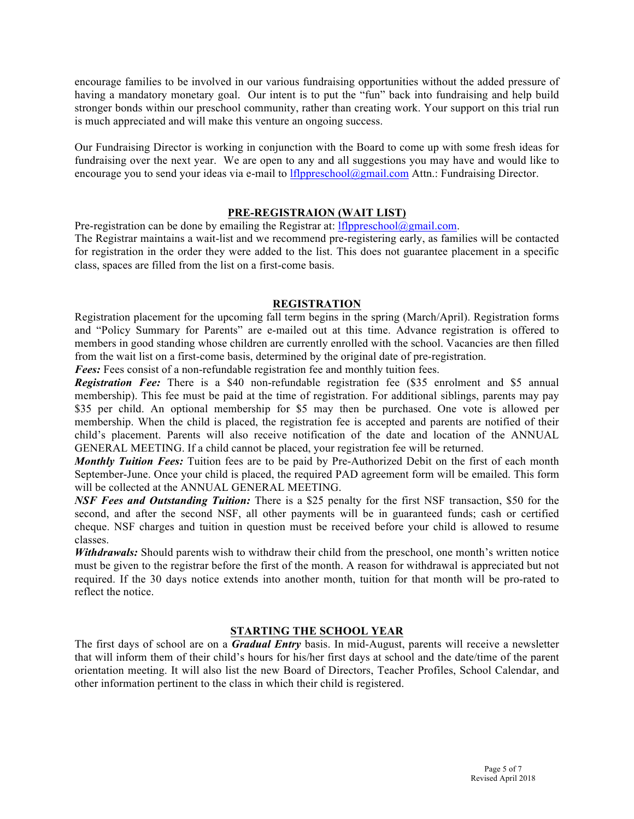encourage families to be involved in our various fundraising opportunities without the added pressure of having a mandatory monetary goal. Our intent is to put the "fun" back into fundraising and help build stronger bonds within our preschool community, rather than creating work. Your support on this trial run is much appreciated and will make this venture an ongoing success.

Our Fundraising Director is working in conjunction with the Board to come up with some fresh ideas for fundraising over the next year. We are open to any and all suggestions you may have and would like to encourage you to send your ideas via e-mail to lflppreschool@gmail.com Attn.: Fundraising Director.

# **PRE-REGISTRAION (WAIT LIST)**

Pre-registration can be done by emailing the Registrar at:  $lf1$ flppreschool $@g$ gmail.com.

The Registrar maintains a wait-list and we recommend pre-registering early, as families will be contacted for registration in the order they were added to the list. This does not guarantee placement in a specific class, spaces are filled from the list on a first-come basis.

# **REGISTRATION**

Registration placement for the upcoming fall term begins in the spring (March/April). Registration forms and "Policy Summary for Parents" are e-mailed out at this time. Advance registration is offered to members in good standing whose children are currently enrolled with the school. Vacancies are then filled from the wait list on a first-come basis, determined by the original date of pre-registration.

*Fees:* Fees consist of a non-refundable registration fee and monthly tuition fees.

*Registration Fee:* There is a \$40 non-refundable registration fee (\$35 enrolment and \$5 annual membership). This fee must be paid at the time of registration. For additional siblings, parents may pay \$35 per child. An optional membership for \$5 may then be purchased. One vote is allowed per membership. When the child is placed, the registration fee is accepted and parents are notified of their child's placement. Parents will also receive notification of the date and location of the ANNUAL GENERAL MEETING. If a child cannot be placed, your registration fee will be returned.

*Monthly Tuition Fees:* Tuition fees are to be paid by Pre-Authorized Debit on the first of each month September-June. Once your child is placed, the required PAD agreement form will be emailed. This form will be collected at the ANNUAL GENERAL MEETING.

*NSF Fees and Outstanding Tuition:* There is a \$25 penalty for the first NSF transaction, \$50 for the second, and after the second NSF, all other payments will be in guaranteed funds; cash or certified cheque. NSF charges and tuition in question must be received before your child is allowed to resume classes.

*Withdrawals:* Should parents wish to withdraw their child from the preschool, one month's written notice must be given to the registrar before the first of the month. A reason for withdrawal is appreciated but not required. If the 30 days notice extends into another month, tuition for that month will be pro-rated to reflect the notice.

# **STARTING THE SCHOOL YEAR**

The first days of school are on a *Gradual Entry* basis. In mid-August, parents will receive a newsletter that will inform them of their child's hours for his/her first days at school and the date/time of the parent orientation meeting. It will also list the new Board of Directors, Teacher Profiles, School Calendar, and other information pertinent to the class in which their child is registered.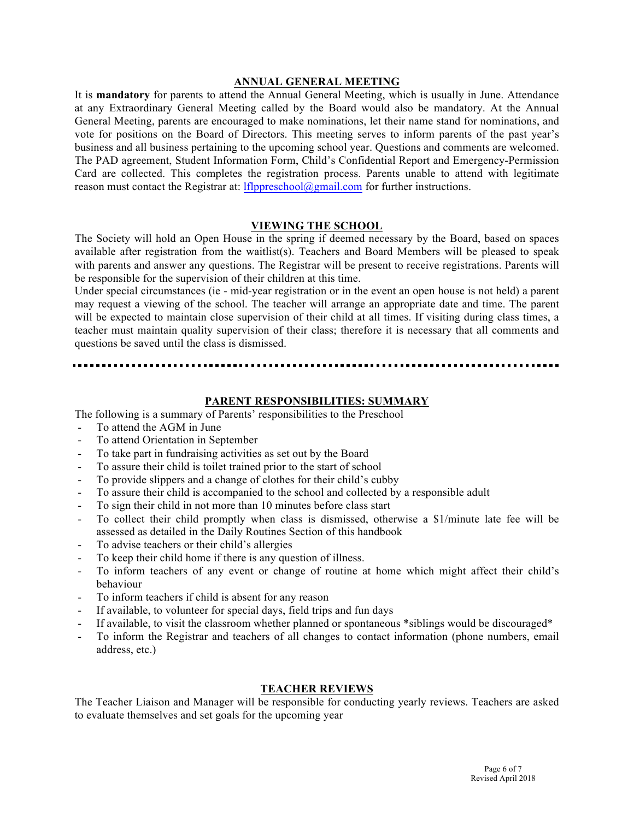#### **ANNUAL GENERAL MEETING**

It is **mandatory** for parents to attend the Annual General Meeting, which is usually in June. Attendance at any Extraordinary General Meeting called by the Board would also be mandatory. At the Annual General Meeting, parents are encouraged to make nominations, let their name stand for nominations, and vote for positions on the Board of Directors. This meeting serves to inform parents of the past year's business and all business pertaining to the upcoming school year. Questions and comments are welcomed. The PAD agreement, Student Information Form, Child's Confidential Report and Emergency-Permission Card are collected. This completes the registration process. Parents unable to attend with legitimate reason must contact the Registrar at: lflppreschool@gmail.com for further instructions.

#### **VIEWING THE SCHOOL**

The Society will hold an Open House in the spring if deemed necessary by the Board, based on spaces available after registration from the waitlist(s). Teachers and Board Members will be pleased to speak with parents and answer any questions. The Registrar will be present to receive registrations. Parents will be responsible for the supervision of their children at this time.

Under special circumstances (ie - mid-year registration or in the event an open house is not held) a parent may request a viewing of the school. The teacher will arrange an appropriate date and time. The parent will be expected to maintain close supervision of their child at all times. If visiting during class times, a teacher must maintain quality supervision of their class; therefore it is necessary that all comments and questions be saved until the class is dismissed.

# **PARENT RESPONSIBILITIES: SUMMARY**

The following is a summary of Parents' responsibilities to the Preschool

- To attend the AGM in June
- To attend Orientation in September
- To take part in fundraising activities as set out by the Board
- To assure their child is toilet trained prior to the start of school
- To provide slippers and a change of clothes for their child's cubby
- To assure their child is accompanied to the school and collected by a responsible adult
- To sign their child in not more than 10 minutes before class start
- To collect their child promptly when class is dismissed, otherwise a \$1/minute late fee will be assessed as detailed in the Daily Routines Section of this handbook
- To advise teachers or their child's allergies
- To keep their child home if there is any question of illness.
- To inform teachers of any event or change of routine at home which might affect their child's behaviour
- To inform teachers if child is absent for any reason
- If available, to volunteer for special days, field trips and fun days
- If available, to visit the classroom whether planned or spontaneous \*siblings would be discouraged\*
- To inform the Registrar and teachers of all changes to contact information (phone numbers, email address, etc.)

# **TEACHER REVIEWS**

The Teacher Liaison and Manager will be responsible for conducting yearly reviews. Teachers are asked to evaluate themselves and set goals for the upcoming year